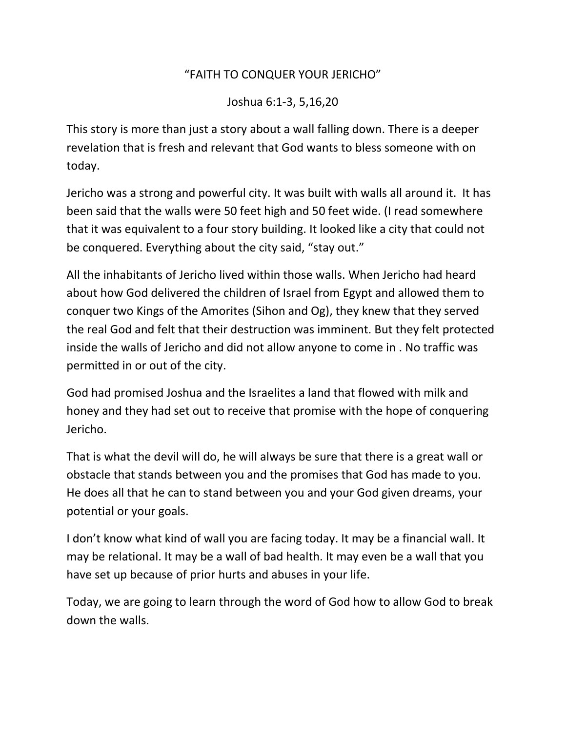## "FAITH TO CONQUER YOUR JERICHO"

Joshua 6:1-3, 5,16,20

This story is more than just a story about a wall falling down. There is a deeper revelation that is fresh and relevant that God wants to bless someone with on today.

Jericho was a strong and powerful city. It was built with walls all around it. It has been said that the walls were 50 feet high and 50 feet wide. (I read somewhere that it was equivalent to a four story building. It looked like a city that could not be conquered. Everything about the city said, "stay out."

All the inhabitants of Jericho lived within those walls. When Jericho had heard about how God delivered the children of Israel from Egypt and allowed them to conquer two Kings of the Amorites (Sihon and Og), they knew that they served the real God and felt that their destruction was imminent. But they felt protected inside the walls of Jericho and did not allow anyone to come in . No traffic was permitted in or out of the city.

God had promised Joshua and the Israelites a land that flowed with milk and honey and they had set out to receive that promise with the hope of conquering Jericho.

That is what the devil will do, he will always be sure that there is a great wall or obstacle that stands between you and the promises that God has made to you. He does all that he can to stand between you and your God given dreams, your potential or your goals.

I don't know what kind of wall you are facing today. It may be a financial wall. It may be relational. It may be a wall of bad health. It may even be a wall that you have set up because of prior hurts and abuses in your life.

Today, we are going to learn through the word of God how to allow God to break down the walls.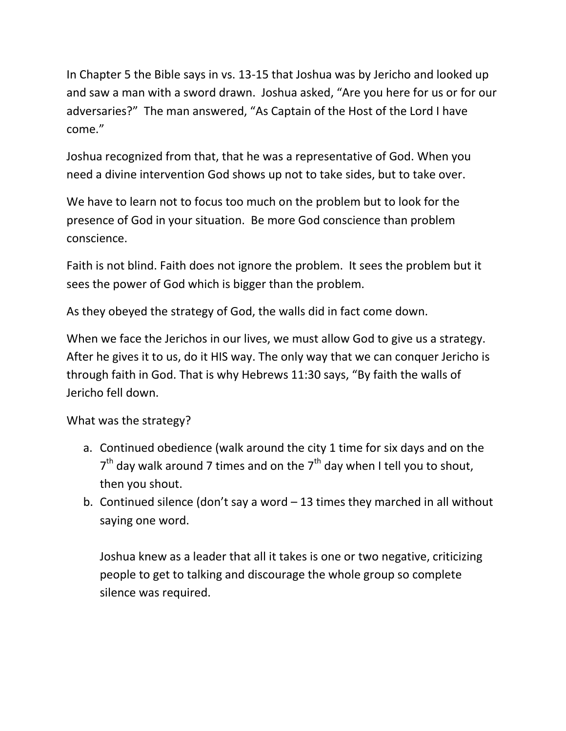In Chapter 5 the Bible says in vs. 13-15 that Joshua was by Jericho and looked up and saw a man with a sword drawn. Joshua asked, "Are you here for us or for our adversaries?" The man answered, "As Captain of the Host of the Lord I have come."

Joshua recognized from that, that he was a representative of God. When you need a divine intervention God shows up not to take sides, but to take over.

We have to learn not to focus too much on the problem but to look for the presence of God in your situation. Be more God conscience than problem conscience.

Faith is not blind. Faith does not ignore the problem. It sees the problem but it sees the power of God which is bigger than the problem.

As they obeyed the strategy of God, the walls did in fact come down.

When we face the Jerichos in our lives, we must allow God to give us a strategy. After he gives it to us, do it HIS way. The only way that we can conquer Jericho is through faith in God. That is why Hebrews 11:30 says, "By faith the walls of Jericho fell down.

What was the strategy?

- a. Continued obedience (walk around the city 1 time for six days and on the  $7<sup>th</sup>$  day walk around 7 times and on the  $7<sup>th</sup>$  day when I tell you to shout, then you shout.
- b. Continued silence (don't say a word 13 times they marched in all without saying one word.

Joshua knew as a leader that all it takes is one or two negative, criticizing people to get to talking and discourage the whole group so complete silence was required.